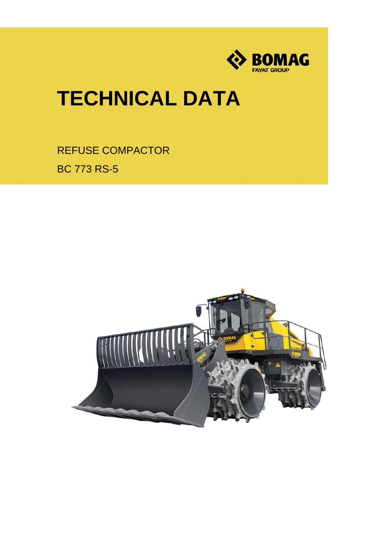

# **TECHNICAL DATA**

REFUSE COMPACTOR BC 773 RS-5

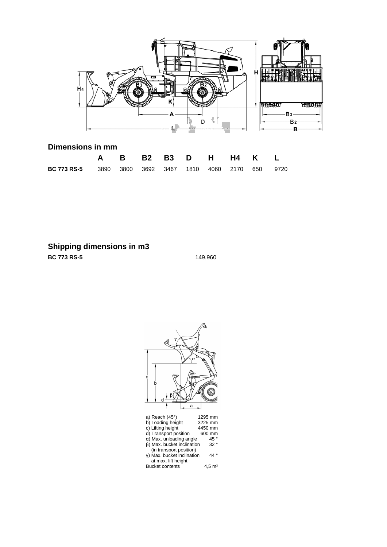

## **Dimensions in mm**

|                                                                |  | A B B2 B3 D H H4 K L |  |  |  |
|----------------------------------------------------------------|--|----------------------|--|--|--|
| <b>BC 773 RS-5</b> 3890 3800 3692 3467 1810 4060 2170 650 9720 |  |                      |  |  |  |

**Shipping dimensions in m3**

**BC 773 RS-5** 149,960

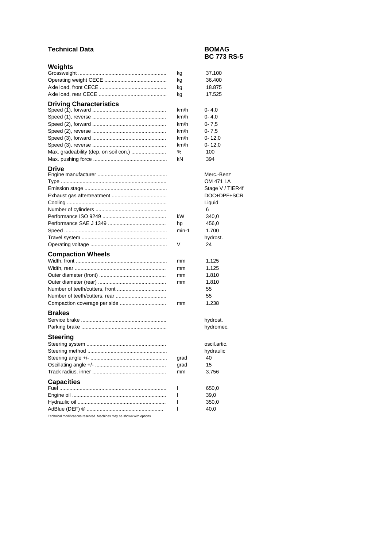## **Technical Data BOMAG**

## **BC 773 RS-5**

| Weights                               |             |                                 |
|---------------------------------------|-------------|---------------------------------|
|                                       | kg          | 37.100                          |
|                                       | kg          | 36.400                          |
|                                       | kg          | 18.875                          |
|                                       | kg          | 17.525                          |
| <b>Driving Characteristics</b>        |             |                                 |
|                                       | km/h        | $0 - 4,0$                       |
|                                       | km/h        | $0 - 4,0$                       |
|                                       | km/h        | $0 - 7,5$                       |
|                                       | km/h        | $0 - 7,5$                       |
|                                       | km/h        | $0 - 12.0$                      |
|                                       | km/h        | $0 - 12,0$                      |
| Max. gradeability (dep. on soil con.) | ℅           | 100                             |
|                                       | kN          | 394                             |
| <b>Drive</b>                          |             |                                 |
|                                       |             | Merc.-Benz<br>OM 471 LA         |
|                                       |             |                                 |
|                                       |             | Stage V / TIER4f<br>DOC+DPF+SCR |
|                                       |             |                                 |
|                                       |             | Liquid                          |
|                                       | kW          | 6<br>340,0                      |
|                                       |             | 456,0                           |
|                                       | hp<br>min-1 | 1.700                           |
|                                       |             | hydrost.                        |
|                                       | v           | 24                              |
|                                       |             |                                 |
| <b>Compaction Wheels</b>              |             |                                 |
|                                       | mm          | 1.125                           |
|                                       | mm          | 1.125                           |
|                                       | mm          | 1.810                           |
|                                       | mm          | 1.810                           |
|                                       |             | 55                              |
|                                       |             | 55                              |
| Compaction coverage per side          | mm          | 1.238                           |
| <b>Brakes</b>                         |             |                                 |
|                                       |             | hydrost.                        |
|                                       |             | hydromec.                       |
| <b>Steering</b>                       |             |                                 |
|                                       |             | oscil.artic.                    |
|                                       |             | hydraulic                       |
|                                       | grad        | 40                              |
|                                       | grad        | 15                              |
|                                       | mm          | 3.756                           |
| <b>Capacities</b>                     |             |                                 |
|                                       | I           | 650,0                           |
|                                       | 1           | 39,0                            |
|                                       | ı           | 350,0                           |
|                                       | I           | 40,0                            |
|                                       |             |                                 |